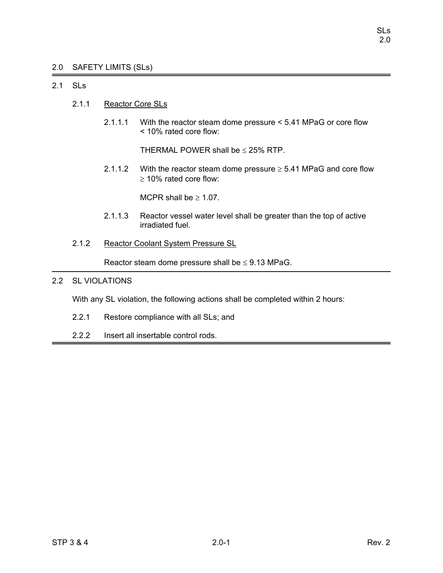# 2.0 SAFETY LIMITS (SLs)

# 2.1 SLs

- 2.1.1 Reactor Core SLs
	- 2.1.1.1 With the reactor steam dome pressure < 5.41 MPaG or core flow < 10% rated core flow:

THERMAL POWER shall be  $\leq$  25% RTP.

2.1.1.2 With the reactor steam dome pressure  $\geq$  5.41 MPaG and core flow ≥ 10% rated core flow:

MCPR shall be  $\geq 1.07$ .

- 2.1.1.3 Reactor vessel water level shall be greater than the top of active irradiated fuel.
- 2.1.2 Reactor Coolant System Pressure SL

Reactor steam dome pressure shall be  $\leq$  9.13 MPaG.

# 2.2 SL VIOLATIONS

With any SL violation, the following actions shall be completed within 2 hours:

- 2.2.1 Restore compliance with all SLs; and
- 2.2.2 Insert all insertable control rods.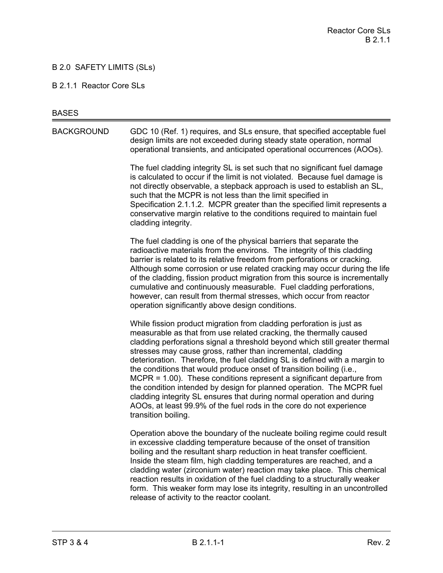# B 2.0 SAFETY LIMITS (SLs)

#### B 2.1.1 Reactor Core SLs

#### **BASES**

BACKGROUND GDC 10 (Ref. 1) requires, and SLs ensure, that specified acceptable fuel design limits are not exceeded during steady state operation, normal operational transients, and anticipated operational occurrences (AOOs).

> The fuel cladding integrity SL is set such that no significant fuel damage is calculated to occur if the limit is not violated. Because fuel damage is not directly observable, a stepback approach is used to establish an SL, such that the MCPR is not less than the limit specified in Specification 2.1.1.2. MCPR greater than the specified limit represents a conservative margin relative to the conditions required to maintain fuel cladding integrity.

The fuel cladding is one of the physical barriers that separate the radioactive materials from the environs. The integrity of this cladding barrier is related to its relative freedom from perforations or cracking. Although some corrosion or use related cracking may occur during the life of the cladding, fission product migration from this source is incrementally cumulative and continuously measurable. Fuel cladding perforations, however, can result from thermal stresses, which occur from reactor operation significantly above design conditions.

While fission product migration from cladding perforation is just as measurable as that from use related cracking, the thermally caused cladding perforations signal a threshold beyond which still greater thermal stresses may cause gross, rather than incremental, cladding deterioration. Therefore, the fuel cladding SL is defined with a margin to the conditions that would produce onset of transition boiling (i.e., MCPR = 1.00). These conditions represent a significant departure from the condition intended by design for planned operation. The MCPR fuel cladding integrity SL ensures that during normal operation and during AOOs, at least 99.9% of the fuel rods in the core do not experience transition boiling.

Operation above the boundary of the nucleate boiling regime could result in excessive cladding temperature because of the onset of transition boiling and the resultant sharp reduction in heat transfer coefficient. Inside the steam film, high cladding temperatures are reached, and a cladding water (zirconium water) reaction may take place. This chemical reaction results in oxidation of the fuel cladding to a structurally weaker form. This weaker form may lose its integrity, resulting in an uncontrolled release of activity to the reactor coolant.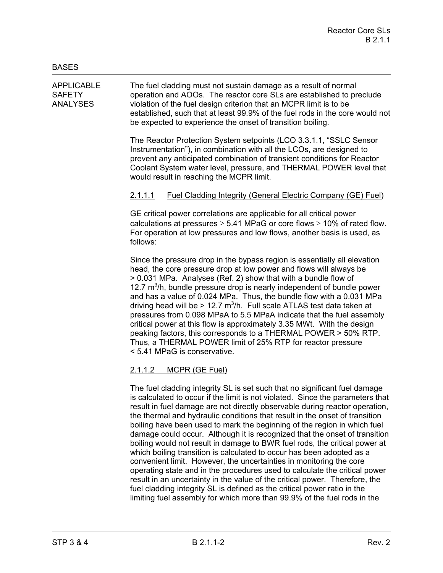APPLICABLE The fuel cladding must not sustain damage as a result of normal SAFETY operation and AOOs. The reactor core SLs are established to preclude ANALYSES violation of the fuel design criterion that an MCPR limit is to be established, such that at least 99.9% of the fuel rods in the core would not be expected to experience the onset of transition boiling.

> The Reactor Protection System setpoints (LCO 3.3.1.1, "SSLC Sensor Instrumentation"), in combination with all the LCOs, are designed to prevent any anticipated combination of transient conditions for Reactor Coolant System water level, pressure, and THERMAL POWER level that would result in reaching the MCPR limit.

# 2.1.1.1 Fuel Cladding Integrity (General Electric Company (GE) Fuel)

GE critical power correlations are applicable for all critical power calculations at pressures  $\geq 5.41$  MPaG or core flows  $\geq 10\%$  of rated flow. For operation at low pressures and low flows, another basis is used, as follows:

Since the pressure drop in the bypass region is essentially all elevation head, the core pressure drop at low power and flows will always be > 0.031 MPa. Analyses (Ref. 2) show that with a bundle flow of 12.7  $m<sup>3</sup>/h$ , bundle pressure drop is nearly independent of bundle power and has a value of 0.024 MPa. Thus, the bundle flow with a 0.031 MPa driving head will be > 12.7  $m^3/h$ . Full scale ATLAS test data taken at pressures from 0.098 MPaA to 5.5 MPaA indicate that the fuel assembly critical power at this flow is approximately 3.35 MWt. With the design peaking factors, this corresponds to a THERMAL POWER > 50% RTP. Thus, a THERMAL POWER limit of 25% RTP for reactor pressure < 5.41 MPaG is conservative.

# 2.1.1.2 MCPR (GE Fuel)

The fuel cladding integrity SL is set such that no significant fuel damage is calculated to occur if the limit is not violated. Since the parameters that result in fuel damage are not directly observable during reactor operation, the thermal and hydraulic conditions that result in the onset of transition boiling have been used to mark the beginning of the region in which fuel damage could occur. Although it is recognized that the onset of transition boiling would not result in damage to BWR fuel rods, the critical power at which boiling transition is calculated to occur has been adopted as a convenient limit. However, the uncertainties in monitoring the core operating state and in the procedures used to calculate the critical power result in an uncertainty in the value of the critical power. Therefore, the fuel cladding integrity SL is defined as the critical power ratio in the limiting fuel assembly for which more than 99.9% of the fuel rods in the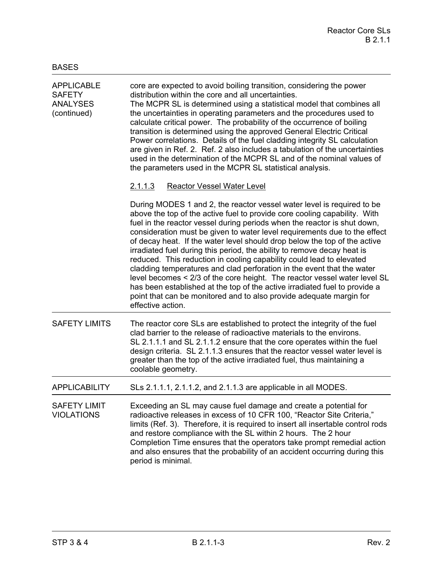| <b>APPLICABLE</b><br><b>SAFETY</b><br><b>ANALYSES</b><br>(continued) | core are expected to avoid boiling transition, considering the power<br>distribution within the core and all uncertainties.<br>The MCPR SL is determined using a statistical model that combines all<br>the uncertainties in operating parameters and the procedures used to<br>calculate critical power. The probability of the occurrence of boiling<br>transition is determined using the approved General Electric Critical<br>Power correlations. Details of the fuel cladding integrity SL calculation<br>are given in Ref. 2. Ref. 2 also includes a tabulation of the uncertainties<br>used in the determination of the MCPR SL and of the nominal values of<br>the parameters used in the MCPR SL statistical analysis.                                                                                                                                              |  |  |
|----------------------------------------------------------------------|-------------------------------------------------------------------------------------------------------------------------------------------------------------------------------------------------------------------------------------------------------------------------------------------------------------------------------------------------------------------------------------------------------------------------------------------------------------------------------------------------------------------------------------------------------------------------------------------------------------------------------------------------------------------------------------------------------------------------------------------------------------------------------------------------------------------------------------------------------------------------------|--|--|
|                                                                      | 2.1.1.3<br><b>Reactor Vessel Water Level</b>                                                                                                                                                                                                                                                                                                                                                                                                                                                                                                                                                                                                                                                                                                                                                                                                                                  |  |  |
|                                                                      | During MODES 1 and 2, the reactor vessel water level is required to be<br>above the top of the active fuel to provide core cooling capability. With<br>fuel in the reactor vessel during periods when the reactor is shut down,<br>consideration must be given to water level requirements due to the effect<br>of decay heat. If the water level should drop below the top of the active<br>irradiated fuel during this period, the ability to remove decay heat is<br>reduced. This reduction in cooling capability could lead to elevated<br>cladding temperatures and clad perforation in the event that the water<br>level becomes < 2/3 of the core height. The reactor vessel water level SL<br>has been established at the top of the active irradiated fuel to provide a<br>point that can be monitored and to also provide adequate margin for<br>effective action. |  |  |
| <b>SAFETY LIMITS</b>                                                 | The reactor core SLs are established to protect the integrity of the fuel<br>clad barrier to the release of radioactive materials to the environs.<br>SL 2.1.1.1 and SL 2.1.1.2 ensure that the core operates within the fuel<br>design criteria. SL 2.1.1.3 ensures that the reactor vessel water level is<br>greater than the top of the active irradiated fuel, thus maintaining a<br>coolable geometry.                                                                                                                                                                                                                                                                                                                                                                                                                                                                   |  |  |
| <b>APPLICABILITY</b>                                                 | SLs 2.1.1.1, 2.1.1.2, and 2.1.1.3 are applicable in all MODES.                                                                                                                                                                                                                                                                                                                                                                                                                                                                                                                                                                                                                                                                                                                                                                                                                |  |  |
| <b>SAFETY LIMIT</b><br><b>VIOLATIONS</b>                             | Exceeding an SL may cause fuel damage and create a potential for<br>radioactive releases in excess of 10 CFR 100, "Reactor Site Criteria,"<br>limits (Ref. 3). Therefore, it is required to insert all insertable control rods<br>and restore compliance with the SL within 2 hours. The 2 hour<br>Completion Time ensures that the operators take prompt remedial action<br>and also ensures that the probability of an accident occurring during this<br>period is minimal.                                                                                                                                                                                                                                                                                                                                                                                                 |  |  |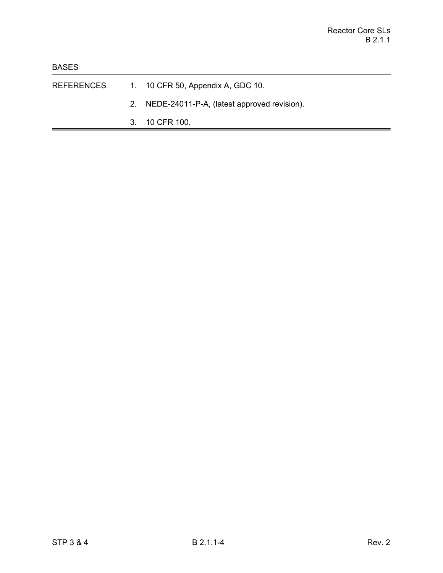- REFERENCES 1. 10 CFR 50, Appendix A, GDC 10.
	- 2. NEDE-24011-P-A, (latest approved revision).
	- 3. 10 CFR 100.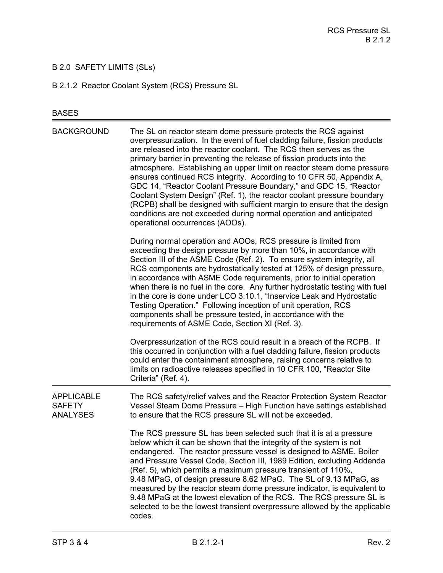# B 2.0 SAFETY LIMITS (SLs)

B 2.1.2 Reactor Coolant System (RCS) Pressure SL

# BASES

| <b>BACKGROUND</b>                                     | The SL on reactor steam dome pressure protects the RCS against<br>overpressurization. In the event of fuel cladding failure, fission products<br>are released into the reactor coolant. The RCS then serves as the<br>primary barrier in preventing the release of fission products into the<br>atmosphere. Establishing an upper limit on reactor steam dome pressure<br>ensures continued RCS integrity. According to 10 CFR 50, Appendix A,<br>GDC 14, "Reactor Coolant Pressure Boundary," and GDC 15, "Reactor<br>Coolant System Design" (Ref. 1), the reactor coolant pressure boundary<br>(RCPB) shall be designed with sufficient margin to ensure that the design<br>conditions are not exceeded during normal operation and anticipated<br>operational occurrences (AOOs). |
|-------------------------------------------------------|--------------------------------------------------------------------------------------------------------------------------------------------------------------------------------------------------------------------------------------------------------------------------------------------------------------------------------------------------------------------------------------------------------------------------------------------------------------------------------------------------------------------------------------------------------------------------------------------------------------------------------------------------------------------------------------------------------------------------------------------------------------------------------------|
|                                                       | During normal operation and AOOs, RCS pressure is limited from<br>exceeding the design pressure by more than 10%, in accordance with<br>Section III of the ASME Code (Ref. 2). To ensure system integrity, all<br>RCS components are hydrostatically tested at 125% of design pressure,<br>in accordance with ASME Code requirements, prior to initial operation<br>when there is no fuel in the core. Any further hydrostatic testing with fuel<br>in the core is done under LCO 3.10.1, "Inservice Leak and Hydrostatic<br>Testing Operation." Following inception of unit operation, RCS<br>components shall be pressure tested, in accordance with the<br>requirements of ASME Code, Section XI (Ref. 3).                                                                        |
|                                                       | Overpressurization of the RCS could result in a breach of the RCPB. If<br>this occurred in conjunction with a fuel cladding failure, fission products<br>could enter the containment atmosphere, raising concerns relative to<br>limits on radioactive releases specified in 10 CFR 100, "Reactor Site<br>Criteria" (Ref. 4).                                                                                                                                                                                                                                                                                                                                                                                                                                                        |
| <b>APPLICABLE</b><br><b>SAFETY</b><br><b>ANALYSES</b> | The RCS safety/relief valves and the Reactor Protection System Reactor<br>Vessel Steam Dome Pressure - High Function have settings established<br>to ensure that the RCS pressure SL will not be exceeded.                                                                                                                                                                                                                                                                                                                                                                                                                                                                                                                                                                           |
|                                                       | The RCS pressure SL has been selected such that it is at a pressure<br>below which it can be shown that the integrity of the system is not<br>endangered. The reactor pressure vessel is designed to ASME, Boiler<br>and Pressure Vessel Code, Section III, 1989 Edition, excluding Addenda<br>(Ref. 5), which permits a maximum pressure transient of 110%,<br>9.48 MPaG, of design pressure 8.62 MPaG. The SL of 9.13 MPaG, as<br>measured by the reactor steam dome pressure indicator, is equivalent to<br>9.48 MPaG at the lowest elevation of the RCS. The RCS pressure SL is<br>selected to be the lowest transient overpressure allowed by the applicable<br>codes.                                                                                                          |